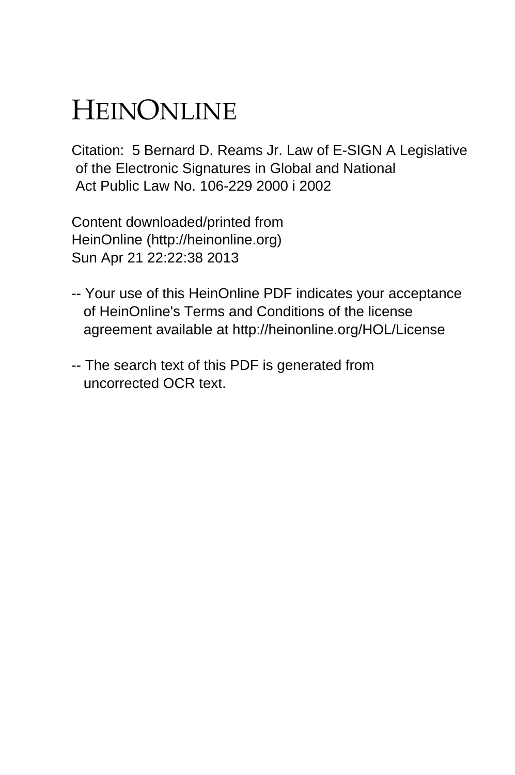## HEINONLINE

Citation: 5 Bernard D. Reams Jr. Law of E-SIGN A Legislative of the Electronic Signatures in Global and National Act Public Law No. 106-229 2000 i 2002

Content downloaded/printed from HeinOnline (http://heinonline.org) Sun Apr 21 22:22:38 2013

- -- Your use of this HeinOnline PDF indicates your acceptance of HeinOnline's Terms and Conditions of the license agreement available at http://heinonline.org/HOL/License
- -- The search text of this PDF is generated from uncorrected OCR text.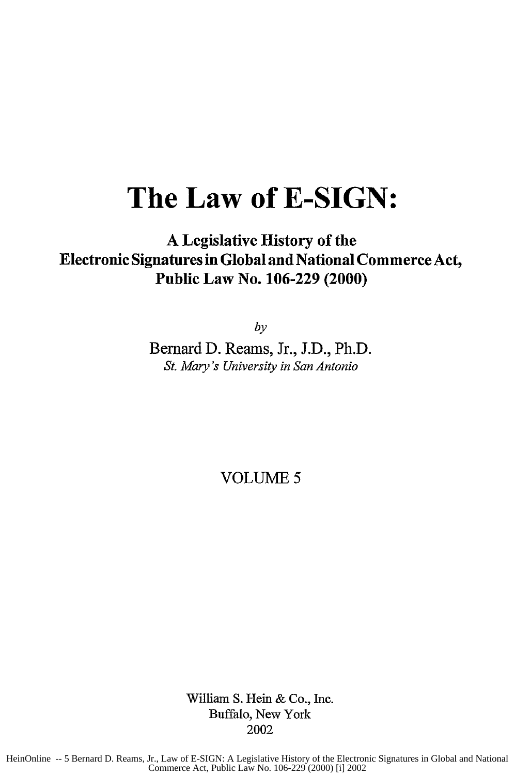## **The Law of E-SIGN:**

## **A** Legislative History of the Electronic Signatures in Global and National Commerce Act, Public Law No. **106-229** (2000)

*by*

Bernard **D.** Reams, Jr., **J.D.,** Ph.D. *St. Mary's University in San Antonio*

VOLUME 5

William S. Hein & Co., Inc. Buffalo, New York 2002

HeinOnline -- 5 Bernard D. Reams, Jr., Law of E-SIGN: A Legislative History of the Electronic Signatures in Global and National Commerce Act, Public Law No. 106-229 (2000) [i] 2002